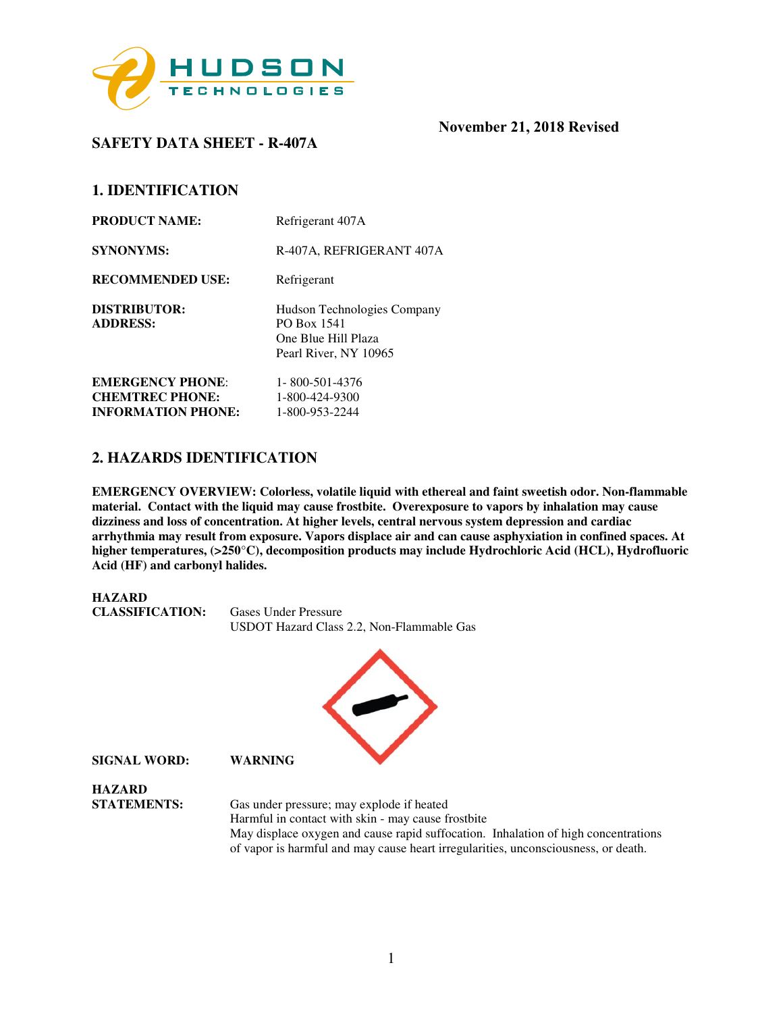

**SAFETY DATA SHEET - R-407A** 

## **1. IDENTIFICATION**

| <b>PRODUCT NAME:</b>                                | Refrigerant 407A                                                                           |
|-----------------------------------------------------|--------------------------------------------------------------------------------------------|
| <b>SYNONYMS:</b>                                    | R-407A, REFRIGERANT 407A                                                                   |
| <b>RECOMMENDED USE:</b>                             | Refrigerant                                                                                |
| <b>DISTRIBUTOR:</b><br><b>ADDRESS:</b>              | Hudson Technologies Company<br>PO Box 1541<br>One Blue Hill Plaza<br>Pearl River, NY 10965 |
| <b>EMERGENCY PHONE:</b>                             | 1-800-501-4376                                                                             |
| <b>CHEMTREC PHONE:</b><br><b>INFORMATION PHONE:</b> | 1-800-424-9300<br>1-800-953-2244                                                           |

## **2. HAZARDS IDENTIFICATION**

**EMERGENCY OVERVIEW: Colorless, volatile liquid with ethereal and faint sweetish odor. Non-flammable material. Contact with the liquid may cause frostbite. Overexposure to vapors by inhalation may cause dizziness and loss of concentration. At higher levels, central nervous system depression and cardiac arrhythmia may result from exposure. Vapors displace air and can cause asphyxiation in confined spaces. At higher temperatures, (>250**°**C), decomposition products may include Hydrochloric Acid (HCL), Hydrofluoric Acid (HF) and carbonyl halides.** 



of vapor is harmful and may cause heart irregularities, unconsciousness, or death.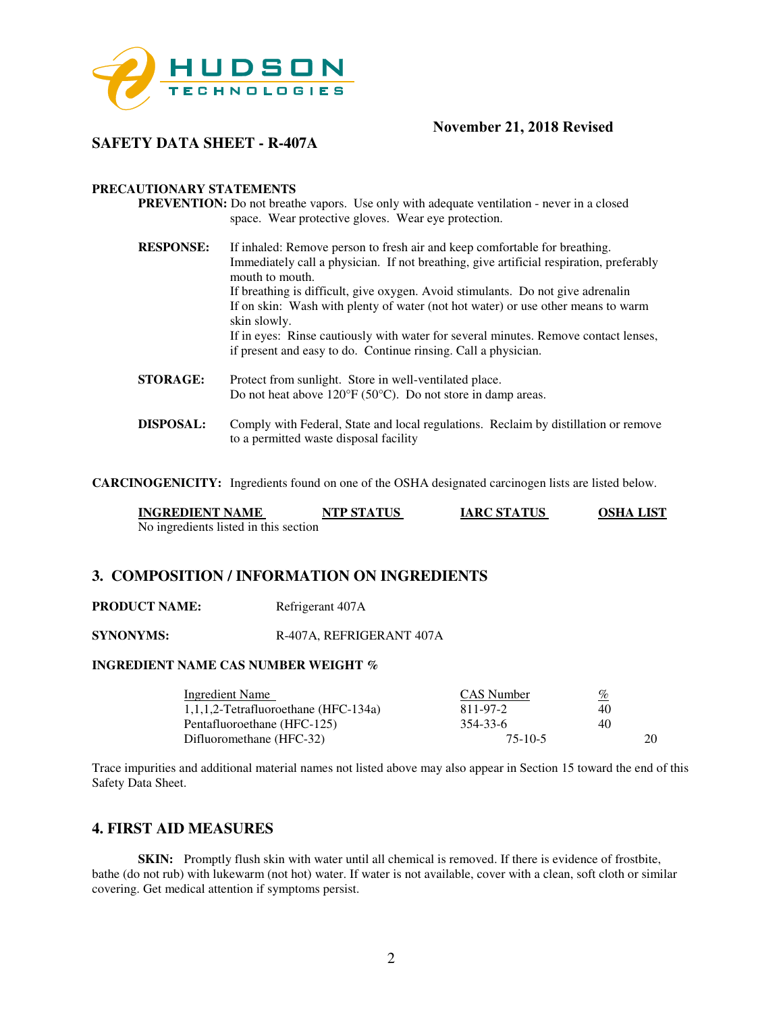

## **SAFETY DATA SHEET - R-407A**

#### **PRECAUTIONARY STATEMENTS**

- **PREVENTION:** Do not breathe vapors. Use only with adequate ventilation never in a closed space. Wear protective gloves. Wear eye protection.
- **RESPONSE:** If inhaled: Remove person to fresh air and keep comfortable for breathing. Immediately call a physician. If not breathing, give artificial respiration, preferably mouth to mouth. If breathing is difficult, give oxygen. Avoid stimulants. Do not give adrenalin If on skin: Wash with plenty of water (not hot water) or use other means to warm skin slowly. If in eyes: Rinse cautiously with water for several minutes. Remove contact lenses, if present and easy to do. Continue rinsing. Call a physician.
- **STORAGE:** Protect from sunlight. Store in well-ventilated place. Do not heat above 120°F (50°C). Do not store in damp areas.
- **DISPOSAL:** Comply with Federal, State and local regulations. Reclaim by distillation or remove to a permitted waste disposal facility

**CARCINOGENICITY:** Ingredients found on one of the OSHA designated carcinogen lists are listed below.

| <b>INGREDIENT NAME</b>                | <b>NTP STATUS</b> | <b>IARC STATUS</b> | <b>OSHA LIST</b> |
|---------------------------------------|-------------------|--------------------|------------------|
| No ingredients listed in this section |                   |                    |                  |

#### **3. COMPOSITION / INFORMATION ON INGREDIENTS**

**PRODUCT NAME:** Refrigerant 407A

**SYNONYMS:** R-407A, REFRIGERANT 407A

#### **INGREDIENT NAME CAS NUMBER WEIGHT %**

| <b>Ingredient Name</b>                  | CAS Number | <u>%</u> |  |
|-----------------------------------------|------------|----------|--|
| $1,1,1,2$ -Tetrafluoroethane (HFC-134a) | 811-97-2   | 40       |  |
| Pentafluoroethane (HFC-125)             | 354-33-6   | 40       |  |
| Difluoromethane (HFC-32)                | $75-10-5$  |          |  |

Trace impurities and additional material names not listed above may also appear in Section 15 toward the end of this Safety Data Sheet.

#### **4. FIRST AID MEASURES**

**SKIN:** Promptly flush skin with water until all chemical is removed. If there is evidence of frostbite, bathe (do not rub) with lukewarm (not hot) water. If water is not available, cover with a clean, soft cloth or similar covering. Get medical attention if symptoms persist.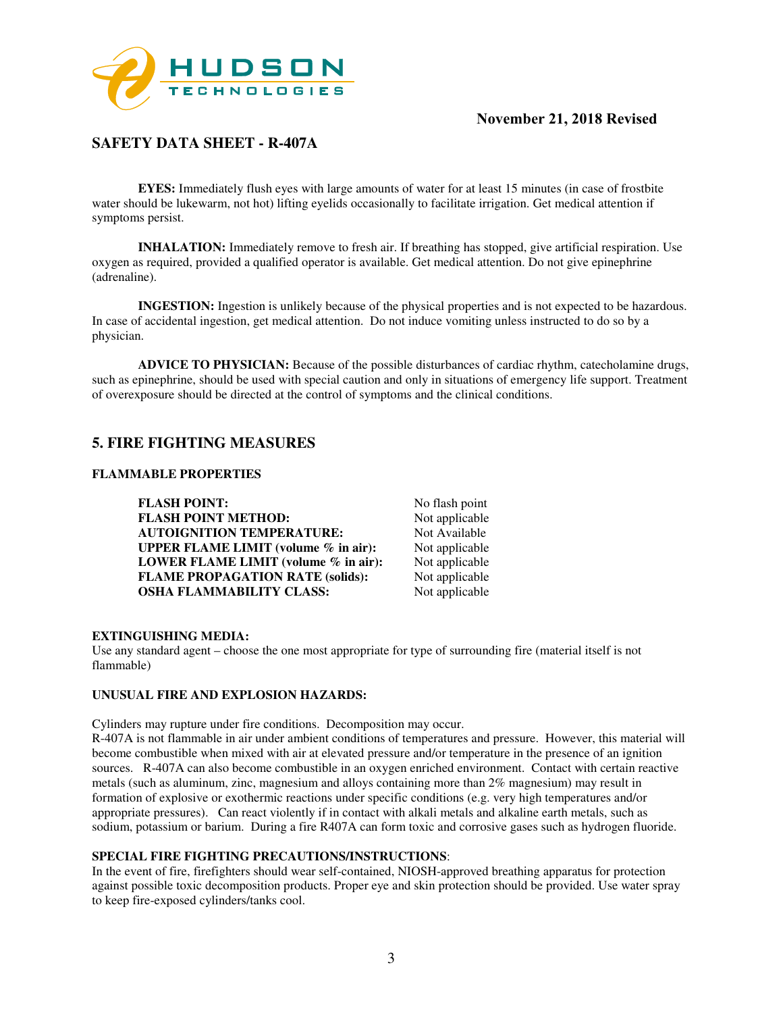

# **SAFETY DATA SHEET - R-407A**

**EYES:** Immediately flush eyes with large amounts of water for at least 15 minutes (in case of frostbite water should be lukewarm, not hot) lifting eyelids occasionally to facilitate irrigation. Get medical attention if symptoms persist.

**INHALATION:** Immediately remove to fresh air. If breathing has stopped, give artificial respiration. Use oxygen as required, provided a qualified operator is available. Get medical attention. Do not give epinephrine (adrenaline).

**INGESTION:** Ingestion is unlikely because of the physical properties and is not expected to be hazardous. In case of accidental ingestion, get medical attention. Do not induce vomiting unless instructed to do so by a physician.

**ADVICE TO PHYSICIAN:** Because of the possible disturbances of cardiac rhythm, catecholamine drugs, such as epinephrine, should be used with special caution and only in situations of emergency life support. Treatment of overexposure should be directed at the control of symptoms and the clinical conditions.

## **5. FIRE FIGHTING MEASURES**

#### **FLAMMABLE PROPERTIES**

**FLASH POINT:** No flash point<br> **FLASH POINT METHOD:** Not applicable **FLASH POINT METHOD: AUTOIGNITION TEMPERATURE:** Not Available<br>**UPPER FLAME LIMIT (volume % in air):** Not applicable **UPPER FLAME LIMIT (volume % in air):** Not applicable<br>**LOWER FLAME LIMIT (volume % in air):** Not applicable **LOWER FLAME LIMIT (volume % in air): FLAME PROPAGATION RATE (solids):** Not applicable **OSHA FLAMMABILITY CLASS:** Not applicable

#### **EXTINGUISHING MEDIA:**

Use any standard agent – choose the one most appropriate for type of surrounding fire (material itself is not flammable)

#### **UNUSUAL FIRE AND EXPLOSION HAZARDS:**

Cylinders may rupture under fire conditions. Decomposition may occur.

R-407A is not flammable in air under ambient conditions of temperatures and pressure. However, this material will become combustible when mixed with air at elevated pressure and/or temperature in the presence of an ignition sources. R-407A can also become combustible in an oxygen enriched environment. Contact with certain reactive metals (such as aluminum, zinc, magnesium and alloys containing more than 2% magnesium) may result in formation of explosive or exothermic reactions under specific conditions (e.g. very high temperatures and/or appropriate pressures). Can react violently if in contact with alkali metals and alkaline earth metals, such as sodium, potassium or barium. During a fire R407A can form toxic and corrosive gases such as hydrogen fluoride.

#### **SPECIAL FIRE FIGHTING PRECAUTIONS/INSTRUCTIONS**:

In the event of fire, firefighters should wear self-contained, NIOSH-approved breathing apparatus for protection against possible toxic decomposition products. Proper eye and skin protection should be provided. Use water spray to keep fire-exposed cylinders/tanks cool.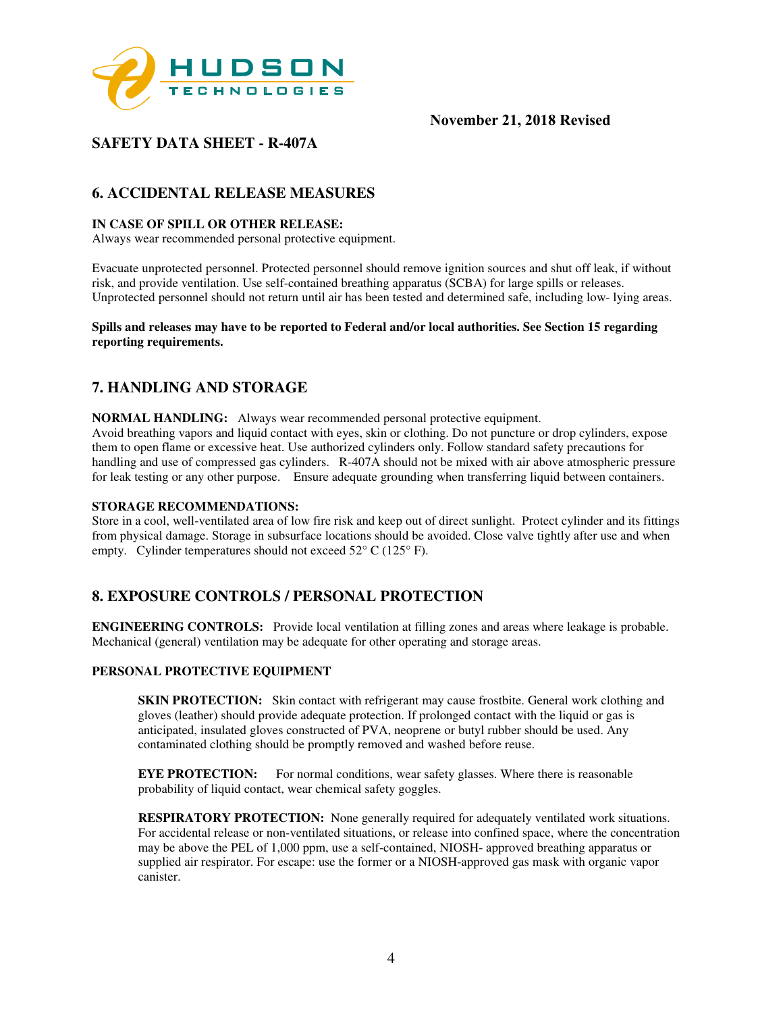

# **SAFETY DATA SHEET - R-407A**

# **6. ACCIDENTAL RELEASE MEASURES**

### **IN CASE OF SPILL OR OTHER RELEASE:**

Always wear recommended personal protective equipment.

Evacuate unprotected personnel. Protected personnel should remove ignition sources and shut off leak, if without risk, and provide ventilation. Use self-contained breathing apparatus (SCBA) for large spills or releases. Unprotected personnel should not return until air has been tested and determined safe, including low- lying areas.

**Spills and releases may have to be reported to Federal and/or local authorities. See Section 15 regarding reporting requirements.** 

## **7. HANDLING AND STORAGE**

**NORMAL HANDLING:** Always wear recommended personal protective equipment.

Avoid breathing vapors and liquid contact with eyes, skin or clothing. Do not puncture or drop cylinders, expose them to open flame or excessive heat. Use authorized cylinders only. Follow standard safety precautions for handling and use of compressed gas cylinders. R-407A should not be mixed with air above atmospheric pressure for leak testing or any other purpose. Ensure adequate grounding when transferring liquid between containers.

#### **STORAGE RECOMMENDATIONS:**

Store in a cool, well-ventilated area of low fire risk and keep out of direct sunlight. Protect cylinder and its fittings from physical damage. Storage in subsurface locations should be avoided. Close valve tightly after use and when empty. Cylinder temperatures should not exceed 52° C (125° F).

## **8. EXPOSURE CONTROLS / PERSONAL PROTECTION**

**ENGINEERING CONTROLS:** Provide local ventilation at filling zones and areas where leakage is probable. Mechanical (general) ventilation may be adequate for other operating and storage areas.

#### **PERSONAL PROTECTIVE EQUIPMENT**

**SKIN PROTECTION:** Skin contact with refrigerant may cause frostbite. General work clothing and gloves (leather) should provide adequate protection. If prolonged contact with the liquid or gas is anticipated, insulated gloves constructed of PVA, neoprene or butyl rubber should be used. Any contaminated clothing should be promptly removed and washed before reuse.

**EYE PROTECTION:** For normal conditions, wear safety glasses. Where there is reasonable probability of liquid contact, wear chemical safety goggles.

**RESPIRATORY PROTECTION:** None generally required for adequately ventilated work situations. For accidental release or non-ventilated situations, or release into confined space, where the concentration may be above the PEL of 1,000 ppm, use a self-contained, NIOSH- approved breathing apparatus or supplied air respirator. For escape: use the former or a NIOSH-approved gas mask with organic vapor canister.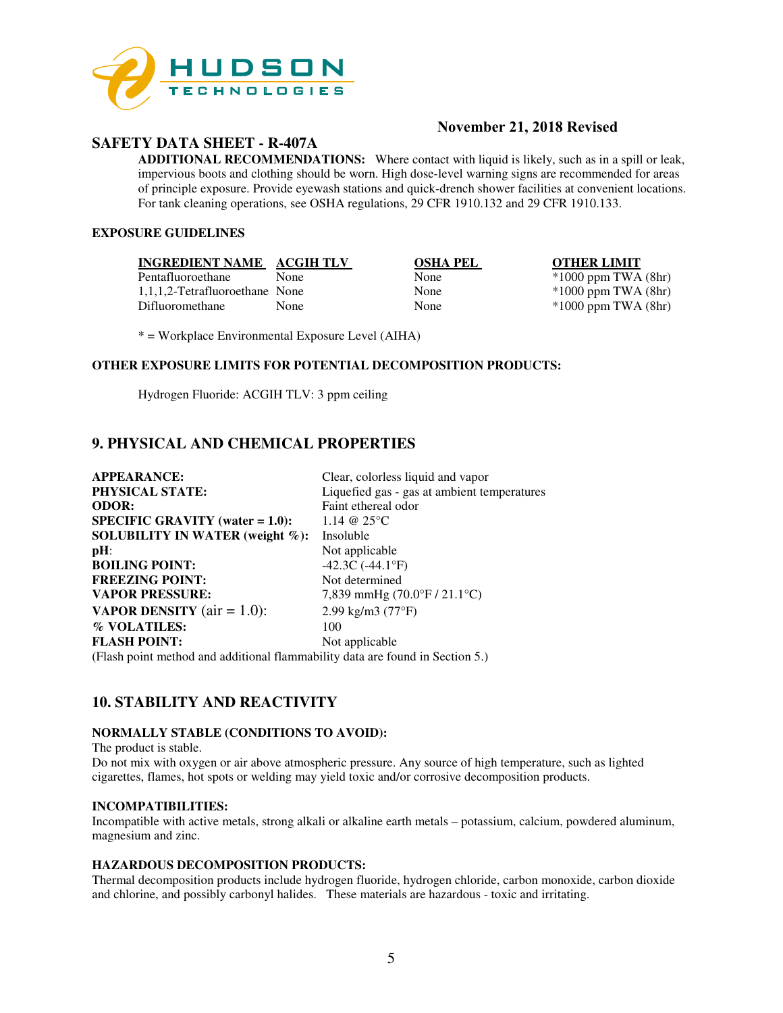

## **SAFETY DATA SHEET - R-407A**

## **November 21, 2018 Revised**

**ADDITIONAL RECOMMENDATIONS:** Where contact with liquid is likely, such as in a spill or leak, impervious boots and clothing should be worn. High dose-level warning signs are recommended for areas of principle exposure. Provide eyewash stations and quick-drench shower facilities at convenient locations. For tank cleaning operations, see OSHA regulations, 29 CFR 1910.132 and 29 CFR 1910.133.

### **EXPOSURE GUIDELINES**

|  | <b>INGREDIENT NAME</b> | <b>ACGIH TLV</b> |
|--|------------------------|------------------|
|  |                        |                  |

Pentafluoroethane None None \*1000 ppm TWA (8hr)<br>1,1,1,2-Tetrafluoroethane None None \*1000 ppm TWA (8hr) 1,1,1,2-Tetrafluoroethane None None \*1000 ppm TWA (8hr) Difluoromethane None None \*1000 ppm TWA (8hr)

**INGREDIEL STATE OTHER LIMIT** 

\* = Workplace Environmental Exposure Level (AIHA)

#### **OTHER EXPOSURE LIMITS FOR POTENTIAL DECOMPOSITION PRODUCTS:**

Hydrogen Fluoride: ACGIH TLV: 3 ppm ceiling

# **9. PHYSICAL AND CHEMICAL PROPERTIES**

| <b>APPEARANCE:</b>                                                                                                                                                                             | Clear, colorless liquid and vapor           |
|------------------------------------------------------------------------------------------------------------------------------------------------------------------------------------------------|---------------------------------------------|
| <b>PHYSICAL STATE:</b>                                                                                                                                                                         | Liquefied gas - gas at ambient temperatures |
| <b>ODOR:</b>                                                                                                                                                                                   | Faint ethereal odor                         |
| $SPECIFIC GRAVITY (water = 1.0):$                                                                                                                                                              | 1.14 @ $25^{\circ}$ C                       |
| SOLUBILITY IN WATER (weight $\%$ ):                                                                                                                                                            | Insoluble                                   |
| $pH$ :                                                                                                                                                                                         | Not applicable                              |
| <b>BOILING POINT:</b>                                                                                                                                                                          | $-42.3C(-44.1^{\circ}F)$                    |
| <b>FREEZING POINT:</b>                                                                                                                                                                         | Not determined                              |
| <b>VAPOR PRESSURE:</b>                                                                                                                                                                         | 7,839 mmHg (70.0°F / 21.1°C)                |
| <b>VAPOR DENSITY</b> ( $air = 1.0$ ):                                                                                                                                                          | 2.99 kg/m3 $(77°F)$                         |
| % VOLATILES:                                                                                                                                                                                   | 100                                         |
| <b>FLASH POINT:</b>                                                                                                                                                                            | Not applicable                              |
| $\sqrt{121}$ , $1$ , $\ldots$ , $1$ , $\ldots$ $1$ , $\ldots$ $1$ , $11$ , $\ldots$ , $1$ , $11$ , $\ldots$ , $1$ , $\ldots$ , $\ldots$ , $\ldots$ , $\ldots$ , $\ldots$ , $\ldots$ , $\ldots$ |                                             |

(Flash point method and additional flammability data are found in Section 5.)

## **10. STABILITY AND REACTIVITY**

#### **NORMALLY STABLE (CONDITIONS TO AVOID):**

The product is stable. Do not mix with oxygen or air above atmospheric pressure. Any source of high temperature, such as lighted cigarettes, flames, hot spots or welding may yield toxic and/or corrosive decomposition products.

#### **INCOMPATIBILITIES:**

Incompatible with active metals, strong alkali or alkaline earth metals – potassium, calcium, powdered aluminum, magnesium and zinc.

#### **HAZARDOUS DECOMPOSITION PRODUCTS:**

Thermal decomposition products include hydrogen fluoride, hydrogen chloride, carbon monoxide, carbon dioxide and chlorine, and possibly carbonyl halides. These materials are hazardous - toxic and irritating.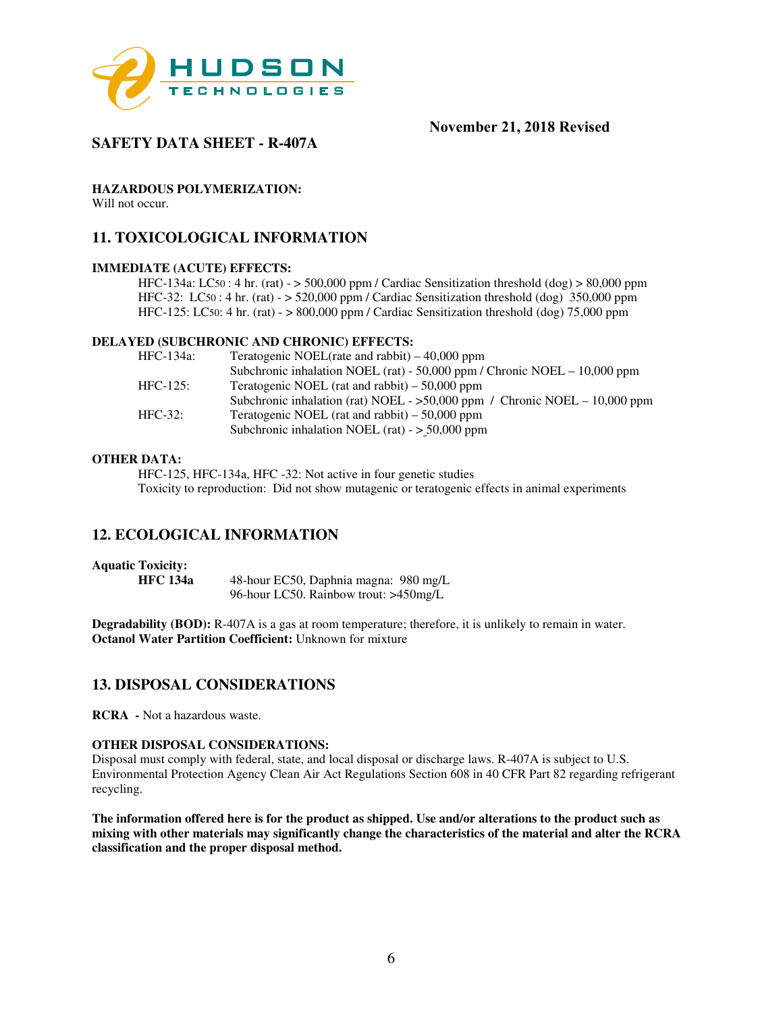

# **SAFETY DATA SHEET - R-407A**

**HAZARDOUS POLYMERIZATION:** 

Will not occur.

## **11. TOXICOLOGICAL INFORMATION**

#### **IMMEDIATE (ACUTE) EFFECTS:**

HFC-134a: LC50 : 4 hr. (rat) -  $>$  500,000 ppm / Cardiac Sensitization threshold (dog)  $>$  80,000 ppm HFC-32: LC50 : 4 hr. (rat) - > 520,000 ppm / Cardiac Sensitization threshold (dog) 350,000 ppm HFC-125: LC50: 4 hr. (rat) - > 800,000 ppm / Cardiac Sensitization threshold (dog) 75,000 ppm

#### **DELAYED (SUBCHRONIC AND CHRONIC) EFFECTS:**

| HFC-134a:   | Teratogenic NOEL(rate and rabbit) $-40,000$ ppm                              |
|-------------|------------------------------------------------------------------------------|
|             | Subchronic inhalation NOEL (rat) - 50,000 ppm / Chronic NOEL $-10,000$ ppm   |
| $HFC-125$ : | Teratogenic NOEL (rat and rabbit) $-50,000$ ppm                              |
|             | Subchronic inhalation (rat) NOEL - $>50,000$ ppm / Chronic NOEL - 10,000 ppm |
| $HFC-32:$   | Teratogenic NOEL (rat and rabbit) $-50,000$ ppm                              |
|             | Subchronic inhalation NOEL (rat) $-$ > 50,000 ppm                            |

#### **OTHER DATA:**

HFC-125, HFC-134a, HFC -32: Not active in four genetic studies Toxicity to reproduction: Did not show mutagenic or teratogenic effects in animal experiments

## **12. ECOLOGICAL INFORMATION**

#### **Aquatic Toxicity:**

**HFC 134a** 48-hour EC50, Daphnia magna: 980 mg/L 96-hour LC50. Rainbow trout: >450mg/L

**Degradability (BOD):** R-407A is a gas at room temperature; therefore, it is unlikely to remain in water. **Octanol Water Partition Coefficient:** Unknown for mixture

## **13. DISPOSAL CONSIDERATIONS**

**RCRA -** Not a hazardous waste.

#### **OTHER DISPOSAL CONSIDERATIONS:**

Disposal must comply with federal, state, and local disposal or discharge laws. R-407A is subject to U.S. Environmental Protection Agency Clean Air Act Regulations Section 608 in 40 CFR Part 82 regarding refrigerant recycling.

**The information offered here is for the product as shipped. Use and/or alterations to the product such as mixing with other materials may significantly change the characteristics of the material and alter the RCRA classification and the proper disposal method.**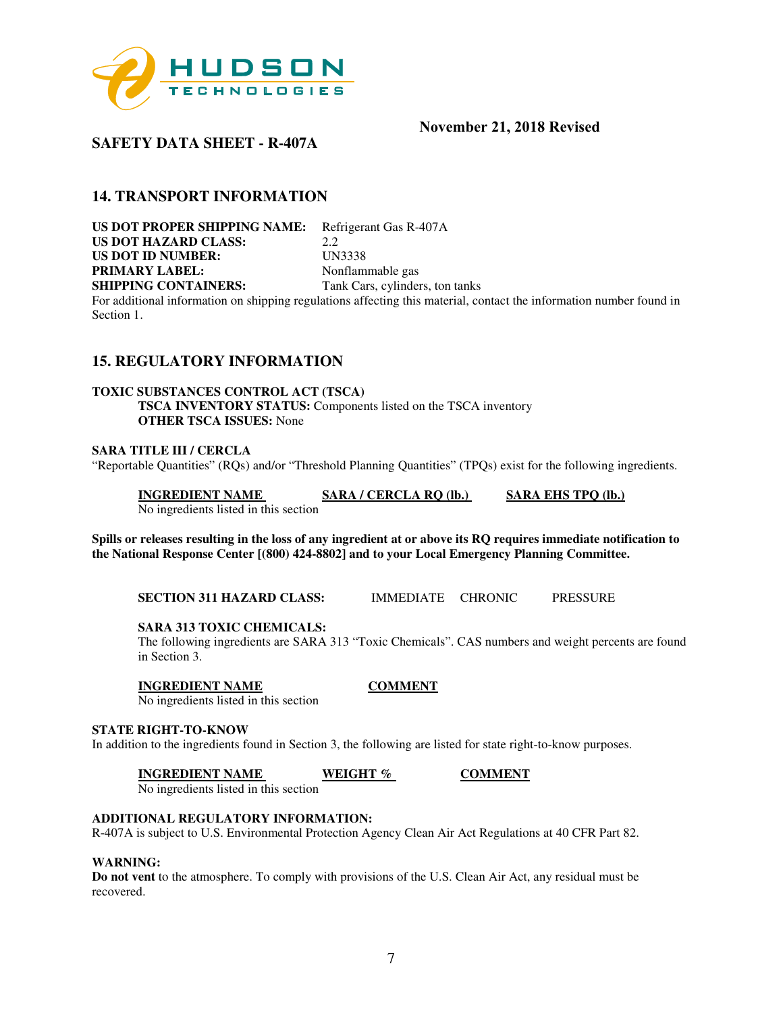

## **SAFETY DATA SHEET - R-407A**

## **14. TRANSPORT INFORMATION**

**US DOT PROPER SHIPPING NAME:** Refrigerant Gas R-407A **US DOT HAZARD CLASS:** 2.2 **US DOT ID NUMBER:** UN3338 **PRIMARY LABEL:** Nonflammable gas **SHIPPING CONTAINERS:** Tank Cars, cylinders, ton tanks

For additional information on shipping regulations affecting this material, contact the information number found in Section 1.

## **15. REGULATORY INFORMATION**

#### **TOXIC SUBSTANCES CONTROL ACT (TSCA)**

**TSCA INVENTORY STATUS:** Components listed on the TSCA inventory **OTHER TSCA ISSUES:** None

#### **SARA TITLE III / CERCLA**

"Reportable Quantities" (RQs) and/or "Threshold Planning Quantities" (TPQs) exist for the following ingredients.

**INGREDIENT NAME SARA / CERCLA RQ (lb.) SARA EHS TPQ (lb.)**  No ingredients listed in this section

**Spills or releases resulting in the loss of any ingredient at or above its RQ requires immediate notification to the National Response Center [(800) 424-8802] and to your Local Emergency Planning Committee.** 

**SECTION 311 HAZARD CLASS:** IMMEDIATE CHRONIC PRESSURE

#### **SARA 313 TOXIC CHEMICALS:**

The following ingredients are SARA 313 "Toxic Chemicals". CAS numbers and weight percents are found in Section 3.

#### **INGREDIENT NAME COMMENT**

No ingredients listed in this section

#### **STATE RIGHT-TO-KNOW**

In addition to the ingredients found in Section 3, the following are listed for state right-to-know purposes.

**INGREDIENT NAME WEIGHT % COMMENT** 

No ingredients listed in this section

## **ADDITIONAL REGULATORY INFORMATION:**

R-407A is subject to U.S. Environmental Protection Agency Clean Air Act Regulations at 40 CFR Part 82.

#### **WARNING:**

**Do not vent** to the atmosphere. To comply with provisions of the U.S. Clean Air Act, any residual must be recovered.